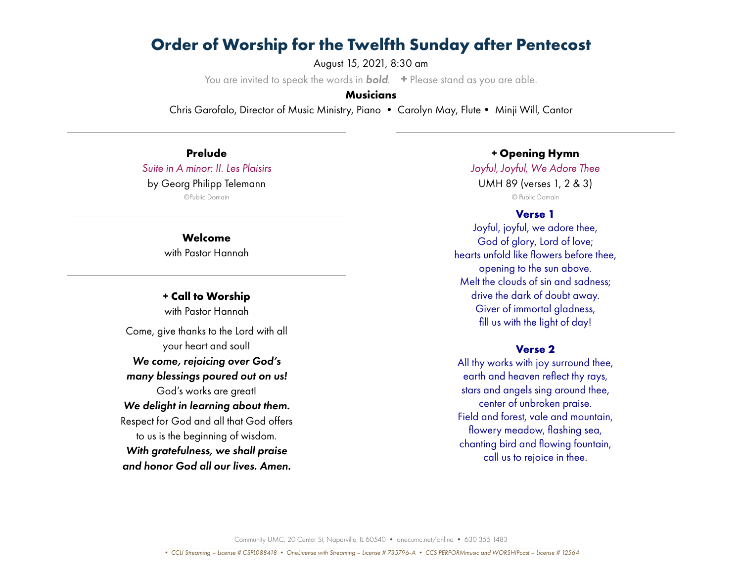August 15, 2021, 8:30 am

You are invited to speak the words in *bold*. **+** Please stand as you are able.

### **Musicians**

Chris Garofalo, Director of Music Ministry, Piano • Carolyn May, Flute• Minji Will, Cantor

**Prelude** *Suite in A minor: II. Les Plaisirs* by Georg Philipp Telemann

©Public Domain

**Welcome** with Pastor Hannah

**+ Call to Worship** with Pastor Hannah Come, give thanks to the Lord with all your heart and soul! *We come, rejoicing over God's many blessings poured out on us!* God's works are great! *We delight in learning about them.* Respect for God and all that God offers to us is the beginning of wisdom. *With gratefulness, we shall praise and honor God all our lives. Amen.*

**+ Opening Hymn**

*Joyful, Joyful, We Adore Thee* UMH 89 (verses 1, 2 & 3) © Public Domain

#### **Verse 1**

Joyful, joyful, we adore thee, God of glory, Lord of love; hearts unfold like flowers before thee, opening to the sun above. Melt the clouds of sin and sadness; drive the dark of doubt away. Giver of immortal gladness, fill us with the light of day!

#### **Verse 2**

All thy works with joy surround thee, earth and heaven reflect thy rays, stars and angels sing around thee, center of unbroken praise. Field and forest, vale and mountain, flowery meadow, flashing sea, chanting bird and flowing fountain, call us to rejoice in thee.

Community UMC, 20 Center St, Naperville, IL 60540 • onecumc.net/online • 630 355 1483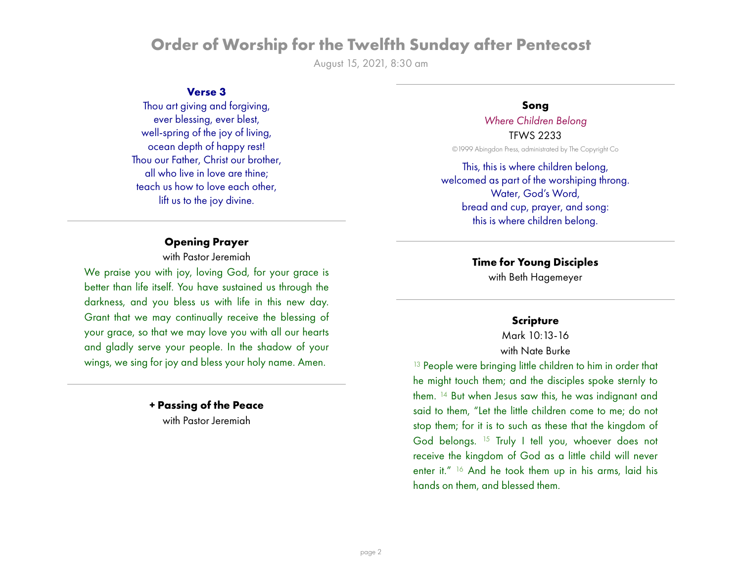August 15, 2021, 8:30 am

### **Verse 3**

Thou art giving and forgiving, ever blessing, ever blest, well-spring of the joy of living, ocean depth of happy rest! Thou our Father, Christ our brother, all who live in love are thine; teach us how to love each other, lift us to the joy divine.

## **Opening Prayer**

with Pastor Jeremiah

We praise you with joy, loving God, for your grace is better than life itself. You have sustained us through the darkness, and you bless us with life in this new day. Grant that we may continually receive the blessing of your grace, so that we may love you with all our hearts and gladly serve your people. In the shadow of your wings, we sing for joy and bless your holy name. Amen.

> **+ Passing of the Peace** with Pastor Jeremiah

#### **Song**

*Where Children Belong* TFWS 2233

©1999 Abingdon Press, administrated by The Copyright Co

This, this is where children belong, welcomed as part of the worshiping throng. Water, God's Word, bread and cup, prayer, and song: this is where children belong.

## **Time for Young Disciples**

with Beth Hagemeyer

#### **Scripture**

Mark 10:13-16 with Nate Burke

<sup>13</sup> People were bringing little children to him in order that he might touch them; and the disciples spoke sternly to them. 14 But when Jesus saw this, he was indignant and said to them, "Let the little children come to me; do not stop them; for it is to such as these that the kingdom of God belongs. 15 Truly I tell you, whoever does not receive the kingdom of God as a little child will never enter it." 16 And he took them up in his arms, laid his hands on them, and blessed them.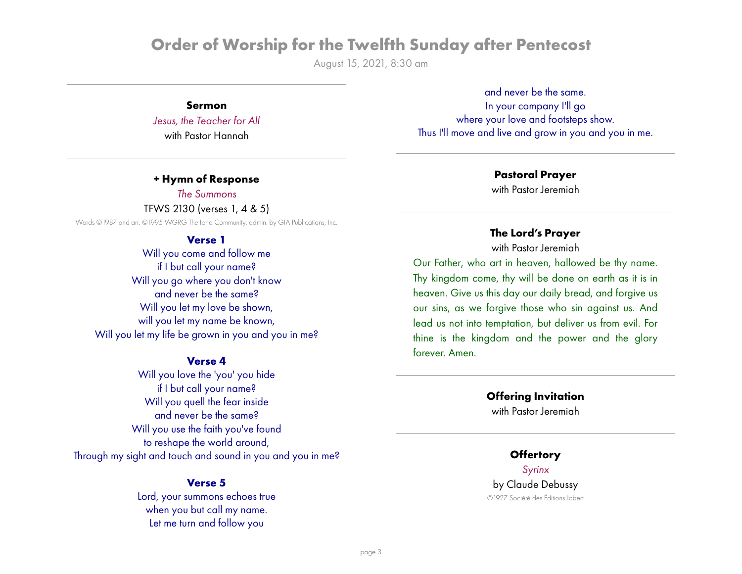August 15, 2021, 8:30 am

**Sermon**

*Jesus, the Teacher for All* with Pastor Hannah

**+ Hymn of Response**

*The Summons*

TFWS 2130 (verses 1, 4 & 5)

Words ©1987 and arr. ©1995 WGRG The Iona Community, admin. by GIA Publications, Inc.

### **Verse 1**

Will you come and follow me if I but call your name? Will you go where you don't know and never be the same? Will you let my love be shown, will you let my name be known, Will you let my life be grown in you and you in me?

#### **Verse 4**

Will you love the 'you' you hide if I but call your name? Will you quell the fear inside and never be the same? Will you use the faith you've found to reshape the world around, Through my sight and touch and sound in you and you in me?

#### **Verse 5**

Lord, your summons echoes true when you but call my name. Let me turn and follow you

and never be the same. In your company I'll go where your love and footsteps show. Thus I'll move and live and grow in you and you in me.

#### **Pastoral Prayer**

with Pastor Jeremiah

## **The Lord's Prayer**

with Pastor Jeremiah

Our Father, who art in heaven, hallowed be thy name. Thy kingdom come, thy will be done on earth as it is in heaven. Give us this day our daily bread, and forgive us our sins, as we forgive those who sin against us. And lead us not into temptation, but deliver us from evil. For thine is the kingdom and the power and the glory forever. Amen.

#### **Offering Invitation**

with Pastor Jeremiah

# **Offertory**

*Syrinx* by Claude Debussy ©1927 Société des Éditions Jobert